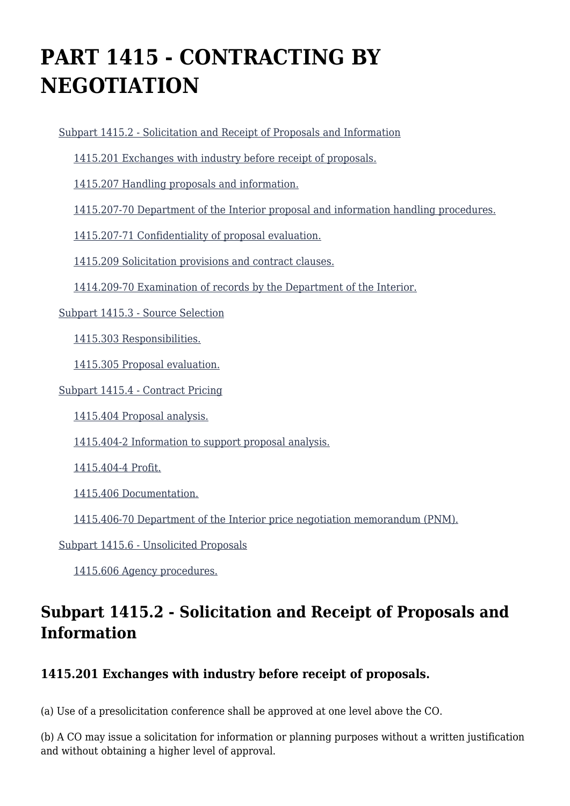# **PART 1415 - CONTRACTING BY NEGOTIATION**

[Subpart 1415.2 - Solicitation and Receipt of Proposals and Information](https://origin-www.acquisition.gov/%5Brp:link:diar-part-1415%5D#Subpart_1415_2_T48_50754141)

[1415.201 Exchanges with industry before receipt of proposals.](https://origin-www.acquisition.gov/%5Brp:link:diar-part-1415%5D#Section_1415_201_T48_5075414111)

[1415.207 Handling proposals and information.](https://origin-www.acquisition.gov/%5Brp:link:diar-part-1415%5D#Section_1415_207_T48_5075414112)

[1415.207-70 Department of the Interior proposal and information handling procedures.](https://origin-www.acquisition.gov/%5Brp:link:diar-part-1415%5D#Section_1415_207_70_T48_5075414113)

[1415.207-71 Confidentiality of proposal evaluation.](https://origin-www.acquisition.gov/%5Brp:link:diar-part-1415%5D#Section_1415_207_71_T48_5075414114)

[1415.209 Solicitation provisions and contract clauses.](https://origin-www.acquisition.gov/%5Brp:link:diar-part-1415%5D#Section_1415_209_T48_5075414115)

[1414.209-70 Examination of records by the Department of the Interior.](https://origin-www.acquisition.gov/%5Brp:link:diar-part-1415%5D#Section_1414_209_70_T48_5075414116)

[Subpart 1415.3 - Source Selection](https://origin-www.acquisition.gov/%5Brp:link:diar-part-1415%5D#Subpart_1415_3_T48_50754142)

[1415.303 Responsibilities.](https://origin-www.acquisition.gov/%5Brp:link:diar-part-1415%5D#Section_1415_303_T48_5075414211)

[1415.305 Proposal evaluation.](https://origin-www.acquisition.gov/%5Brp:link:diar-part-1415%5D#Section_1415_305_T48_5075414212)

[Subpart 1415.4 - Contract Pricing](https://origin-www.acquisition.gov/%5Brp:link:diar-part-1415%5D#Subpart_1415_4_T48_50754143)

[1415.404 Proposal analysis.](https://origin-www.acquisition.gov/%5Brp:link:diar-part-1415%5D#Section_1415_404_T48_5075414311)

[1415.404-2 Information to support proposal analysis.](https://origin-www.acquisition.gov/%5Brp:link:diar-part-1415%5D#Section_1415_404_2_T48_5075414312)

[1415.404-4 Profit.](https://origin-www.acquisition.gov/%5Brp:link:diar-part-1415%5D#Section_1415_404_4_T48_5075414313)

[1415.406 Documentation.](https://origin-www.acquisition.gov/%5Brp:link:diar-part-1415%5D#Section_1415_406_T48_5075414314)

[1415.406-70 Department of the Interior price negotiation memorandum \(PNM\).](https://origin-www.acquisition.gov/%5Brp:link:diar-part-1415%5D#Section_1415_406_70_T48_5075414315)

[Subpart 1415.6 - Unsolicited Proposals](https://origin-www.acquisition.gov/%5Brp:link:diar-part-1415%5D#Subpart_1415_6_T48_50754144)

[1415.606 Agency procedures.](https://origin-www.acquisition.gov/%5Brp:link:diar-part-1415%5D#Section_1415_606_T48_5075414411)

# **Subpart 1415.2 - Solicitation and Receipt of Proposals and Information**

# **1415.201 Exchanges with industry before receipt of proposals.**

(a) Use of a presolicitation conference shall be approved at one level above the CO.

(b) A CO may issue a solicitation for information or planning purposes without a written justification and without obtaining a higher level of approval.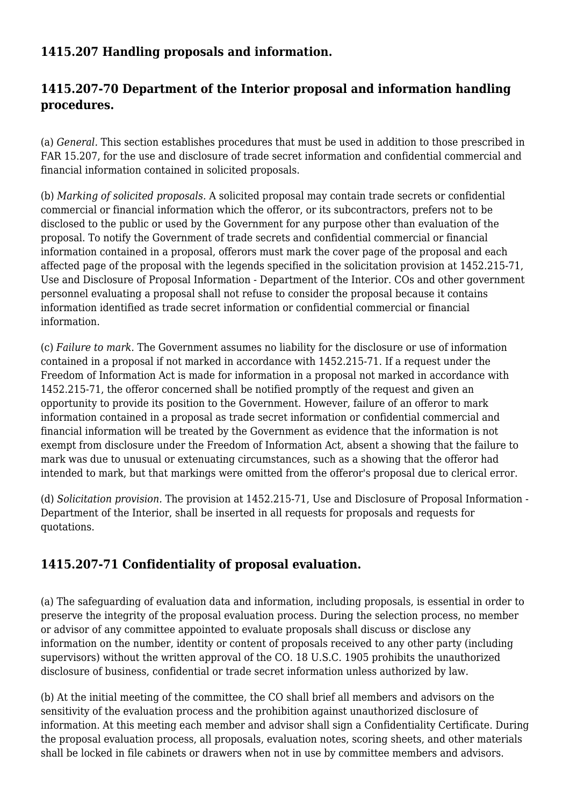## **1415.207 Handling proposals and information.**

## **1415.207-70 Department of the Interior proposal and information handling procedures.**

(a) *General.* This section establishes procedures that must be used in addition to those prescribed in FAR 15.207, for the use and disclosure of trade secret information and confidential commercial and financial information contained in solicited proposals.

(b) *Marking of solicited proposals.* A solicited proposal may contain trade secrets or confidential commercial or financial information which the offeror, or its subcontractors, prefers not to be disclosed to the public or used by the Government for any purpose other than evaluation of the proposal. To notify the Government of trade secrets and confidential commercial or financial information contained in a proposal, offerors must mark the cover page of the proposal and each affected page of the proposal with the legends specified in the solicitation provision at 1452.215-71, Use and Disclosure of Proposal Information - Department of the Interior. COs and other government personnel evaluating a proposal shall not refuse to consider the proposal because it contains information identified as trade secret information or confidential commercial or financial information.

(c) *Failure to mark.* The Government assumes no liability for the disclosure or use of information contained in a proposal if not marked in accordance with 1452.215-71. If a request under the Freedom of Information Act is made for information in a proposal not marked in accordance with 1452.215-71, the offeror concerned shall be notified promptly of the request and given an opportunity to provide its position to the Government. However, failure of an offeror to mark information contained in a proposal as trade secret information or confidential commercial and financial information will be treated by the Government as evidence that the information is not exempt from disclosure under the Freedom of Information Act, absent a showing that the failure to mark was due to unusual or extenuating circumstances, such as a showing that the offeror had intended to mark, but that markings were omitted from the offeror's proposal due to clerical error.

(d) *Solicitation provision.* The provision at 1452.215-71, Use and Disclosure of Proposal Information - Department of the Interior, shall be inserted in all requests for proposals and requests for quotations.

# **1415.207-71 Confidentiality of proposal evaluation.**

(a) The safeguarding of evaluation data and information, including proposals, is essential in order to preserve the integrity of the proposal evaluation process. During the selection process, no member or advisor of any committee appointed to evaluate proposals shall discuss or disclose any information on the number, identity or content of proposals received to any other party (including supervisors) without the written approval of the CO. 18 U.S.C. 1905 prohibits the unauthorized disclosure of business, confidential or trade secret information unless authorized by law.

(b) At the initial meeting of the committee, the CO shall brief all members and advisors on the sensitivity of the evaluation process and the prohibition against unauthorized disclosure of information. At this meeting each member and advisor shall sign a Confidentiality Certificate. During the proposal evaluation process, all proposals, evaluation notes, scoring sheets, and other materials shall be locked in file cabinets or drawers when not in use by committee members and advisors.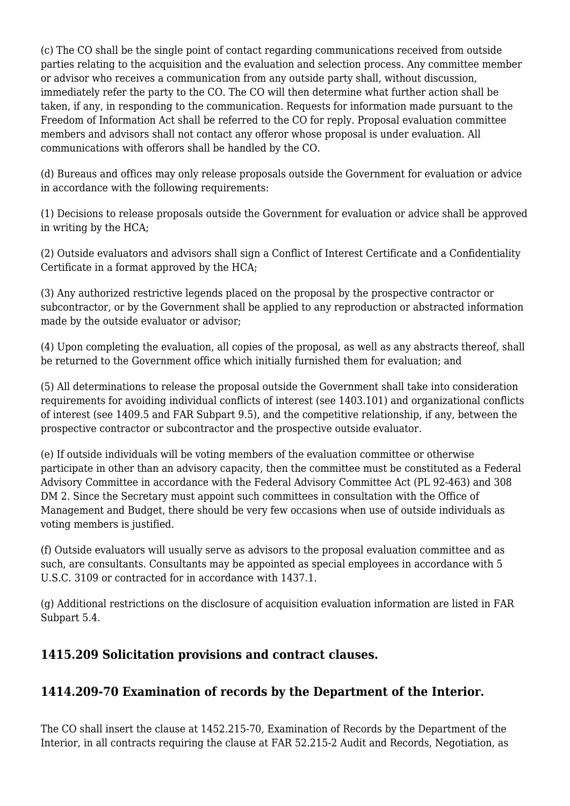(c) The CO shall be the single point of contact regarding communications received from outside parties relating to the acquisition and the evaluation and selection process. Any committee member or advisor who receives a communication from any outside party shall, without discussion, immediately refer the party to the CO. The CO will then determine what further action shall be taken, if any, in responding to the communication. Requests for information made pursuant to the Freedom of Information Act shall be referred to the CO for reply. Proposal evaluation committee members and advisors shall not contact any offeror whose proposal is under evaluation. All communications with offerors shall be handled by the CO.

(d) Bureaus and offices may only release proposals outside the Government for evaluation or advice in accordance with the following requirements:

(1) Decisions to release proposals outside the Government for evaluation or advice shall be approved in writing by the HCA;

(2) Outside evaluators and advisors shall sign a Conflict of Interest Certificate and a Confidentiality Certificate in a format approved by the HCA;

(3) Any authorized restrictive legends placed on the proposal by the prospective contractor or subcontractor, or by the Government shall be applied to any reproduction or abstracted information made by the outside evaluator or advisor;

(4) Upon completing the evaluation, all copies of the proposal, as well as any abstracts thereof, shall be returned to the Government office which initially furnished them for evaluation; and

(5) All determinations to release the proposal outside the Government shall take into consideration requirements for avoiding individual conflicts of interest (see 1403.101) and organizational conflicts of interest (see 1409.5 and FAR Subpart 9.5), and the competitive relationship, if any, between the prospective contractor or subcontractor and the prospective outside evaluator.

(e) If outside individuals will be voting members of the evaluation committee or otherwise participate in other than an advisory capacity, then the committee must be constituted as a Federal Advisory Committee in accordance with the Federal Advisory Committee Act (PL 92-463) and 308 DM 2. Since the Secretary must appoint such committees in consultation with the Office of Management and Budget, there should be very few occasions when use of outside individuals as voting members is justified.

(f) Outside evaluators will usually serve as advisors to the proposal evaluation committee and as such, are consultants. Consultants may be appointed as special employees in accordance with 5 U.S.C. 3109 or contracted for in accordance with 1437.1.

(g) Additional restrictions on the disclosure of acquisition evaluation information are listed in FAR Subpart 5.4.

#### **1415.209 Solicitation provisions and contract clauses.**

# **1414.209-70 Examination of records by the Department of the Interior.**

The CO shall insert the clause at 1452.215-70, Examination of Records by the Department of the Interior, in all contracts requiring the clause at FAR 52.215-2 Audit and Records, Negotiation, as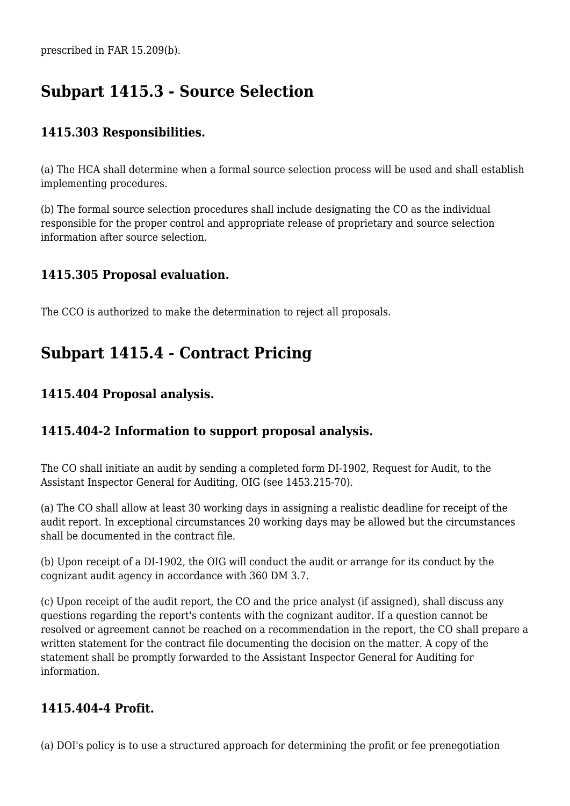prescribed in FAR 15.209(b).

# **Subpart 1415.3 - Source Selection**

### **1415.303 Responsibilities.**

(a) The HCA shall determine when a formal source selection process will be used and shall establish implementing procedures.

(b) The formal source selection procedures shall include designating the CO as the individual responsible for the proper control and appropriate release of proprietary and source selection information after source selection.

#### **1415.305 Proposal evaluation.**

The CCO is authorized to make the determination to reject all proposals.

# **Subpart 1415.4 - Contract Pricing**

#### **1415.404 Proposal analysis.**

#### **1415.404-2 Information to support proposal analysis.**

The CO shall initiate an audit by sending a completed form DI-1902, Request for Audit, to the Assistant Inspector General for Auditing, OIG (see 1453.215-70).

(a) The CO shall allow at least 30 working days in assigning a realistic deadline for receipt of the audit report. In exceptional circumstances 20 working days may be allowed but the circumstances shall be documented in the contract file.

(b) Upon receipt of a DI-1902, the OIG will conduct the audit or arrange for its conduct by the cognizant audit agency in accordance with 360 DM 3.7.

(c) Upon receipt of the audit report, the CO and the price analyst (if assigned), shall discuss any questions regarding the report's contents with the cognizant auditor. If a question cannot be resolved or agreement cannot be reached on a recommendation in the report, the CO shall prepare a written statement for the contract file documenting the decision on the matter. A copy of the statement shall be promptly forwarded to the Assistant Inspector General for Auditing for information.

#### **1415.404-4 Profit.**

(a) DOI's policy is to use a structured approach for determining the profit or fee prenegotiation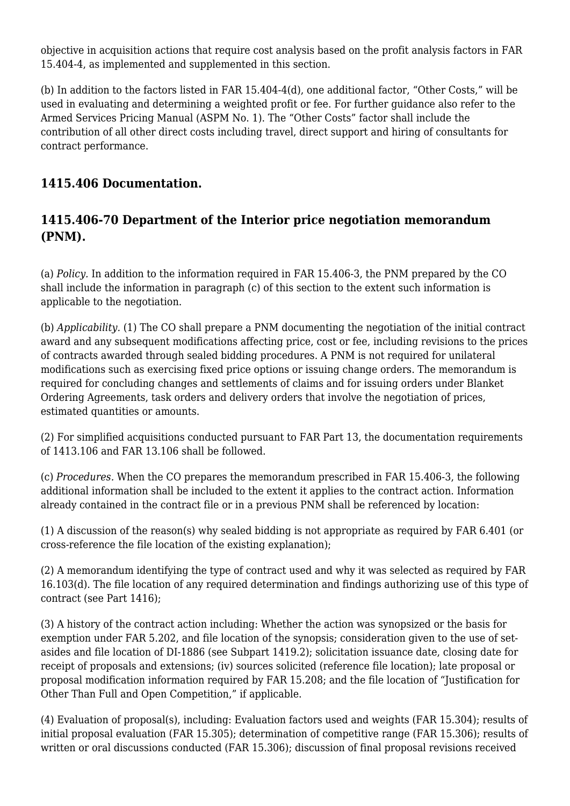objective in acquisition actions that require cost analysis based on the profit analysis factors in FAR 15.404-4, as implemented and supplemented in this section.

(b) In addition to the factors listed in FAR 15.404-4(d), one additional factor, "Other Costs," will be used in evaluating and determining a weighted profit or fee. For further guidance also refer to the Armed Services Pricing Manual (ASPM No. 1). The "Other Costs" factor shall include the contribution of all other direct costs including travel, direct support and hiring of consultants for contract performance.

## **1415.406 Documentation.**

### **1415.406-70 Department of the Interior price negotiation memorandum (PNM).**

(a) *Policy.* In addition to the information required in FAR 15.406-3, the PNM prepared by the CO shall include the information in paragraph (c) of this section to the extent such information is applicable to the negotiation.

(b) *Applicability.* (1) The CO shall prepare a PNM documenting the negotiation of the initial contract award and any subsequent modifications affecting price, cost or fee, including revisions to the prices of contracts awarded through sealed bidding procedures. A PNM is not required for unilateral modifications such as exercising fixed price options or issuing change orders. The memorandum is required for concluding changes and settlements of claims and for issuing orders under Blanket Ordering Agreements, task orders and delivery orders that involve the negotiation of prices, estimated quantities or amounts.

(2) For simplified acquisitions conducted pursuant to FAR Part 13, the documentation requirements of 1413.106 and FAR 13.106 shall be followed.

(c) *Procedures.* When the CO prepares the memorandum prescribed in FAR 15.406-3, the following additional information shall be included to the extent it applies to the contract action. Information already contained in the contract file or in a previous PNM shall be referenced by location:

(1) A discussion of the reason(s) why sealed bidding is not appropriate as required by FAR 6.401 (or cross-reference the file location of the existing explanation);

(2) A memorandum identifying the type of contract used and why it was selected as required by FAR 16.103(d). The file location of any required determination and findings authorizing use of this type of contract (see Part 1416);

(3) A history of the contract action including: Whether the action was synopsized or the basis for exemption under FAR 5.202, and file location of the synopsis; consideration given to the use of setasides and file location of DI-1886 (see Subpart 1419.2); solicitation issuance date, closing date for receipt of proposals and extensions; (iv) sources solicited (reference file location); late proposal or proposal modification information required by FAR 15.208; and the file location of "Justification for Other Than Full and Open Competition," if applicable.

(4) Evaluation of proposal(s), including: Evaluation factors used and weights (FAR 15.304); results of initial proposal evaluation (FAR 15.305); determination of competitive range (FAR 15.306); results of written or oral discussions conducted (FAR 15.306); discussion of final proposal revisions received